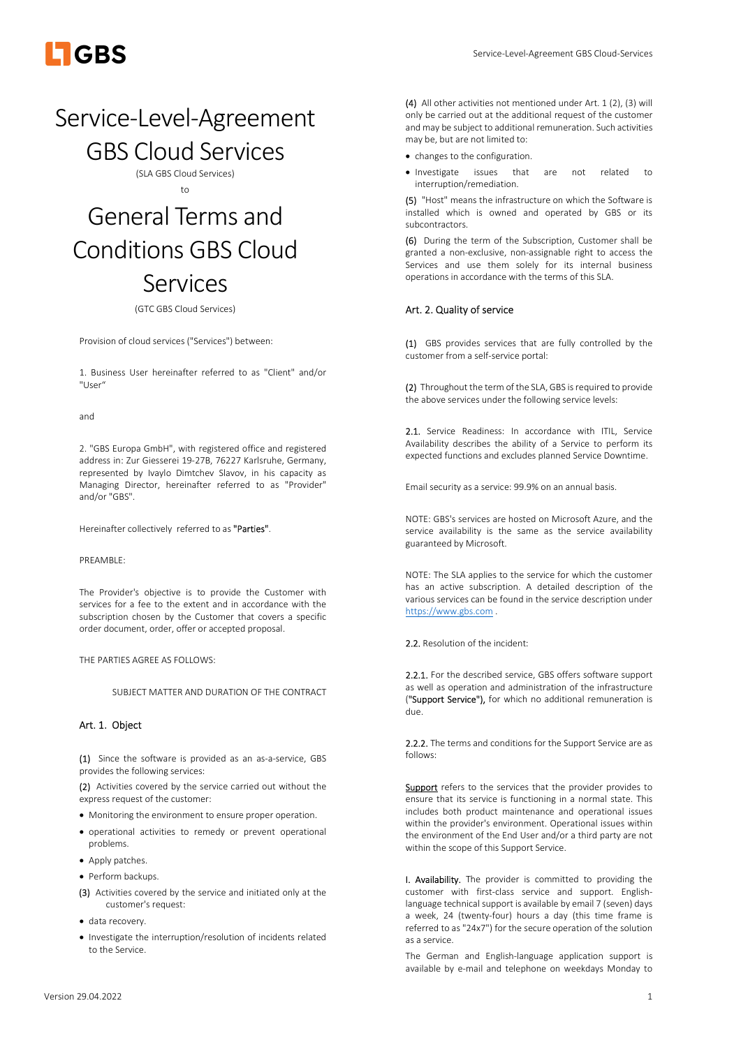

# Service-Level-Agreement

GBS Cloud Services

(SLA GBS Cloud Services) to

# General Terms and Conditions GBS Cloud Services

(GTC GBS Cloud Services)

Provision of cloud services ("Services") between:

1. Business User hereinafter referred to as "Client" and/or "User"

and

2. "GBS Europa GmbH", with registered office and registered address in: Zur Giesserei 19-27B, 76227 Karlsruhe, Germany, represented by Ivaylo Dimtchev Slavov, in his capacity as Managing Director, hereinafter referred to as "Provider" and/or "GBS".

Hereinafter collectively referred to as "Parties".

#### PREAMBLE:

The Provider's objective is to provide the Customer with services for a fee to the extent and in accordance with the subscription chosen by the Customer that covers a specific order document, order, offer or accepted proposal.

THE PARTIES AGREE AS FOLLOWS:

SUBJECT MATTER AND DURATION OF THE CONTRACT

# Art. 1. Object

(1) Since the software is provided as an as-a-service, GBS provides the following services:

(2) Activities covered by the service carried out without the express request of the customer:

- Monitoring the environment to ensure proper operation.
- operational activities to remedy or prevent operational problems.
- Apply patches.
- Perform backups.
- (3) Activities covered by the service and initiated only at the customer's request:
- data recovery.
- Investigate the interruption/resolution of incidents related to the Service.

(4) All other activities not mentioned under Art. 1 (2), (3) will only be carried out at the additional request of the customer and may be subject to additional remuneration. Such activities may be, but are not limited to:

- changes to the configuration.
- Investigate issues that are not related to interruption/remediation.

(5) "Host" means the infrastructure on which the Software is installed which is owned and operated by GBS or its subcontractors.

(6) During the term of the Subscription, Customer shall be granted a non-exclusive, non-assignable right to access the Services and use them solely for its internal business operations in accordance with the terms of this SLA.

# Art. 2. Quality of service

(1) GBS provides services that are fully controlled by the customer from a self-service portal:

(2) Throughout the term of the SLA, GBS is required to provide the above services under the following service levels:

2.1. Service Readiness: In accordance with ITIL, Service Availability describes the ability of a Service to perform its expected functions and excludes planned Service Downtime.

Email security as a service: 99.9% on an annual basis.

NOTE: GBS's services are hosted on Microsoft Azure, and the service availability is the same as the service availability guaranteed by Microsoft.

NOTE: The SLA applies to the service for which the customer has an active subscription. A detailed description of the various services can be found in the service description under https://www.gbs.com .

2.2. Resolution of the incident:

2.2.1. For the described service, GBS offers software support as well as operation and administration of the infrastructure ("Support Service"), for which no additional remuneration is due.

2.2.2. The terms and conditions for the Support Service are as follows:

Support refers to the services that the provider provides to ensure that its service is functioning in a normal state. This includes both product maintenance and operational issues within the provider's environment. Operational issues within the environment of the End User and/or a third party are not within the scope of this Support Service.

I. Availability. The provider is committed to providing the customer with first-class service and support. Englishlanguage technical support is available by email 7 (seven) days a week, 24 (twenty-four) hours a day (this time frame is referred to as "24x7") for the secure operation of the solution as a service.

The German and English-language application support is available by e-mail and telephone on weekdays Monday to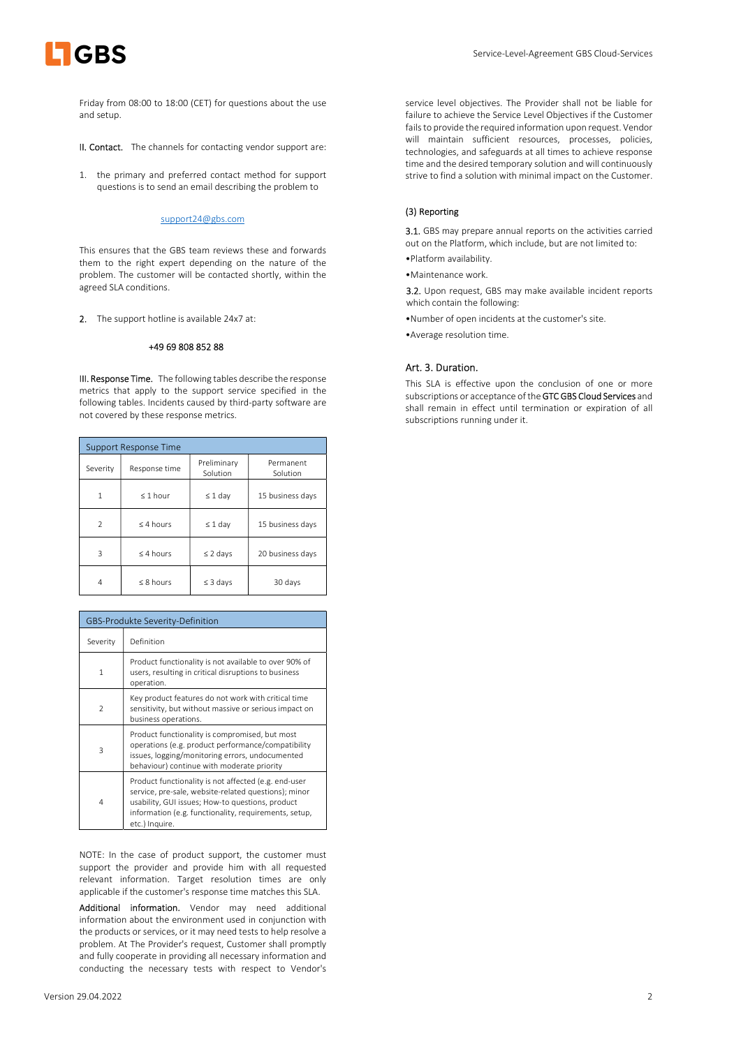

Friday from 08:00 to 18:00 (CET) for questions about the use and setup.

II. Contact. The channels for contacting vendor support are:

1. the primary and preferred contact method for support questions is to send an email describing the problem to

### support24@gbs.com

This ensures that the GBS team reviews these and forwards them to the right expert depending on the nature of the problem. The customer will be contacted shortly, within the agreed SLA conditions.

2. The support hotline is available 24x7 at:

# +49 69 808 852 88

III. Response Time. The following tables describe the response metrics that apply to the support service specified in the following tables. Incidents caused by third-party software are not covered by these response metrics.

| <b>Support Response Time</b> |               |                         |                       |
|------------------------------|---------------|-------------------------|-----------------------|
| Severity                     | Response time | Preliminary<br>Solution | Permanent<br>Solution |
| 1                            | $\leq 1$ hour | $\leq 1$ day            | 15 business days      |
| $\mathfrak{D}$               | $<$ 4 hours   | $\leq 1$ day            | 15 business days      |
| 3                            | $<$ 4 hours   | $\leq$ 2 days           | 20 business days      |
| 4                            | $< 8$ hours   | $\leq$ 3 days           | 30 days               |

| GBS-Produkte Severity-Definition |                                                                                                                                                                                                                                             |  |
|----------------------------------|---------------------------------------------------------------------------------------------------------------------------------------------------------------------------------------------------------------------------------------------|--|
| Severity                         | Definition                                                                                                                                                                                                                                  |  |
| 1                                | Product functionality is not available to over 90% of<br>users, resulting in critical disruptions to business<br>operation.                                                                                                                 |  |
| $\mathcal{P}$                    | Key product features do not work with critical time<br>sensitivity, but without massive or serious impact on<br>business operations.                                                                                                        |  |
| $\mathbf{R}$                     | Product functionality is compromised, but most<br>operations (e.g. product performance/compatibility<br>issues, logging/monitoring errors, undocumented<br>behaviour) continue with moderate priority                                       |  |
| 4                                | Product functionality is not affected (e.g. end-user<br>service, pre-sale, website-related questions); minor<br>usability, GUI issues; How-to questions, product<br>information (e.g. functionality, requirements, setup,<br>etc.) Inquire. |  |

NOTE: In the case of product support, the customer must support the provider and provide him with all requested relevant information. Target resolution times are only applicable if the customer's response time matches this SLA.

Additional information. Vendor may need additional information about the environment used in conjunction with the products or services, or it may need tests to help resolve a problem. At The Provider's request, Customer shall promptly and fully cooperate in providing all necessary information and conducting the necessary tests with respect to Vendor's

service level objectives. The Provider shall not be liable for failure to achieve the Service Level Objectives if the Customer fails to provide the required information upon request. Vendor will maintain sufficient resources, processes, policies, technologies, and safeguards at all times to achieve response time and the desired temporary solution and will continuously strive to find a solution with minimal impact on the Customer.

# (3) Reporting

3.1. GBS may prepare annual reports on the activities carried out on the Platform, which include, but are not limited to:

•Platform availability.

•Maintenance work.

3.2. Upon request, GBS may make available incident reports which contain the following:

- •Number of open incidents at the customer's site.
- •Average resolution time.

# Art. 3. Duration.

This SLA is effective upon the conclusion of one or more subscriptions or acceptance of the GTC GBS Cloud Services and shall remain in effect until termination or expiration of all subscriptions running under it.